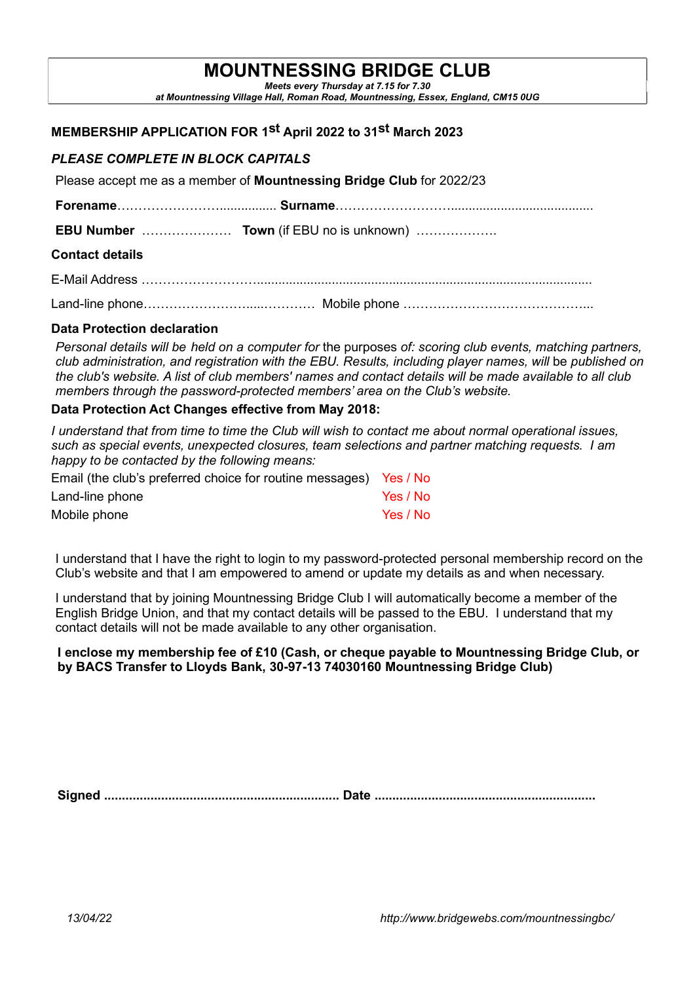# MOUNTNESSING BRIDGE CLUB

Meets every Thursday at 7.15 for 7.30 at Mountnessing Village Hall, Roman Road, Mountnessing, Essex, England, CM15 0UG

## MEMBERSHIP APPLICATION FOR 1st April 2022 to 31st March 2023

## PLEASE COMPLETE IN BLOCK CAPITALS

Please accept me as a member of Mountnessing Bridge Club for 2022/23

|                        | <b>EBU Number</b> Town (if EBU no is unknown) |
|------------------------|-----------------------------------------------|
| <b>Contact details</b> |                                               |
|                        |                                               |
|                        |                                               |

#### Data Protection declaration

Personal details will be held on a computer for the purposes of: scoring club events, matching partners, club administration, and registration with the EBU. Results, including player names, will be published on the club's website. A list of club members' names and contact details will be made available to all club members through the password-protected members' area on the Club's website.

#### Data Protection Act Changes effective from May 2018:

I understand that from time to time the Club will wish to contact me about normal operational issues, such as special events, unexpected closures, team selections and partner matching requests. I am happy to be contacted by the following means:

| Email (the club's preferred choice for routine messages) Yes / No |          |
|-------------------------------------------------------------------|----------|
| Land-line phone                                                   | Yes / No |
| Mobile phone                                                      | Yes / No |

I understand that I have the right to login to my password-protected personal membership record on the Club's website and that I am empowered to amend or update my details as and when necessary.

I understand that by joining Mountnessing Bridge Club I will automatically become a member of the English Bridge Union, and that my contact details will be passed to the EBU. I understand that my contact details will not be made available to any other organisation.

#### I enclose my membership fee of £10 (Cash, or cheque payable to Mountnessing Bridge Club, or by BACS Transfer to Lloyds Bank, 30-97-13 74030160 Mountnessing Bridge Club)

Signed .................................................................. Date ..............................................................